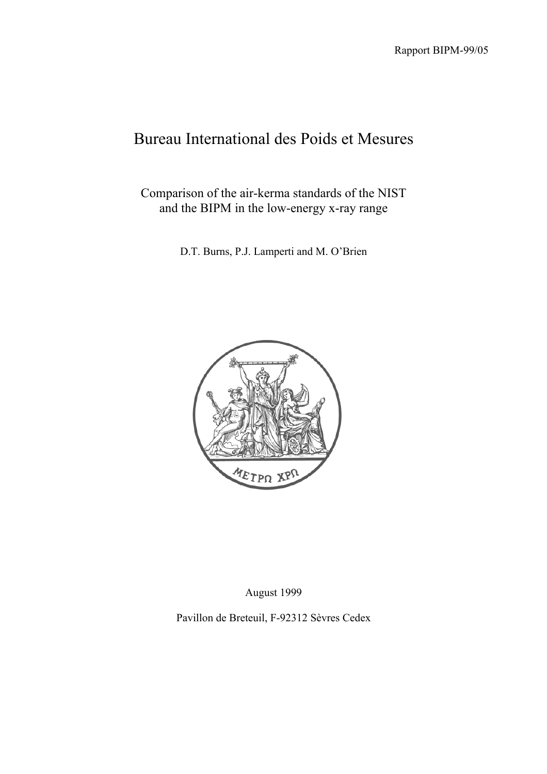# Bureau International des Poids et Mesures

Comparison of the air-kerma standards of the NIST and the BIPM in the low-energy x-ray range

D.T. Burns, P.J. Lamperti and M. O'Brien



August 1999

Pavillon de Breteuil, F-92312 Sèvres Cedex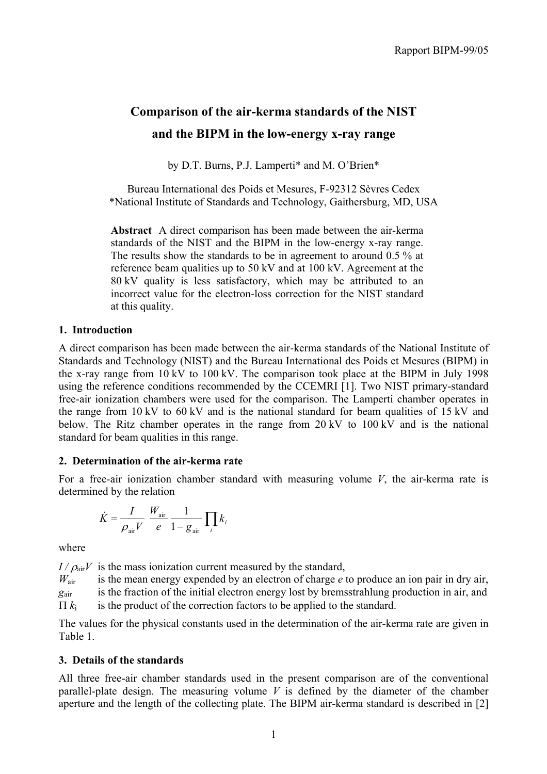# **Comparison of the air-kerma standards of the NIST and the BIPM in the low-energy x-ray range**

by D.T. Burns, P.J. Lamperti\* and M. O'Brien\*

Bureau International des Poids et Mesures, F-92312 Sèvres Cedex \*National Institute of Standards and Technology, Gaithersburg, MD, USA

**Abstract** A direct comparison has been made between the air-kerma standards of the NIST and the BIPM in the low-energy x-ray range. The results show the standards to be in agreement to around 0.5 % at reference beam qualities up to 50 kV and at 100 kV. Agreement at the 80 kV quality is less satisfactory, which may be attributed to an incorrect value for the electron-loss correction for the NIST standard at this quality.

### **1. Introduction**

A direct comparison has been made between the air-kerma standards of the National Institute of Standards and Technology (NIST) and the Bureau International des Poids et Mesures (BIPM) in the x-ray range from 10 kV to 100 kV. The comparison took place at the BIPM in July 1998 using the reference conditions recommended by the CCEMRI [1]. Two NIST primary-standard free-air ionization chambers were used for the comparison. The Lamperti chamber operates in the range from 10 kV to 60 kV and is the national standard for beam qualities of 15 kV and below. The Ritz chamber operates in the range from 20 kV to 100 kV and is the national standard for beam qualities in this range.

### **2. Determination of the air-kerma rate**

For a free-air ionization chamber standard with measuring volume *V*, the air-kerma rate is determined by the relation

$$
\dot{K} = \frac{I}{\rho_{\text{air}}V} \frac{W_{\text{air}}}{e} \frac{1}{1 - g_{\text{air}}} \prod_{i} k_{i}
$$

where

 $I/\rho_{\text{air}}V$  is the mass ionization current measured by the standard,

 $W_{\text{air}}$  is the mean energy expended by an electron of charge *e* to produce an ion pair in dry air, *g*air is the fraction of the initial electron energy lost by bremsstrahlung production in air, and  $\Pi k_i$  is the product of the correction factors to be applied to the standard.

The values for the physical constants used in the determination of the air-kerma rate are given in Table 1.

## **3. Details of the standards**

All three free-air chamber standards used in the present comparison are of the conventional parallel-plate design. The measuring volume *V* is defined by the diameter of the chamber aperture and the length of the collecting plate. The BIPM air-kerma standard is described in [2]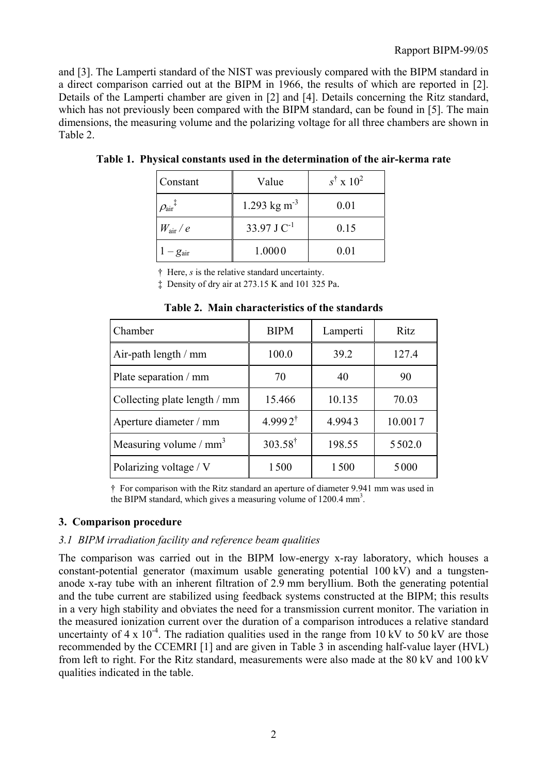and [3]. The Lamperti standard of the NIST was previously compared with the BIPM standard in a direct comparison carried out at the BIPM in 1966, the results of which are reported in [2]. Details of the Lamperti chamber are given in [2] and [4]. Details concerning the Ritz standard, which has not previously been compared with the BIPM standard, can be found in [5]. The main dimensions, the measuring volume and the polarizing voltage for all three chambers are shown in Table 2.

| Constant                         | Value                    | $s^{\dagger} \times 10^2$ |
|----------------------------------|--------------------------|---------------------------|
| $\rho_{\textrm{air}}{}^\ddagger$ | 1.293 kg m <sup>-3</sup> | 0.01                      |
| $W_{\rm air}$ / $e$              | 33.97 J $C^{-1}$         | 0.15                      |
| $-g_{\text{air}}$                | 1.0000                   | 0.01                      |

**Table 1. Physical constants used in the determination of the air-kerma rate**

† Here, *s* is the relative standard uncertainty.

‡ Density of dry air at 273.15 K and 101 325 Pa.

| Chamber                      | <b>BIPM</b>        | Lamperti | Ritz    |
|------------------------------|--------------------|----------|---------|
| Air-path length $/mm$        | 100.0              | 39.2     | 127.4   |
| Plate separation / mm        | 70                 | 40       | 90      |
| Collecting plate length / mm | 15.466             | 10.135   | 70.03   |
| Aperture diameter / mm       | $4.9992^{\dagger}$ | 4.9943   | 10.0017 |
| Measuring volume / $mm3$     | $303.58^{\dagger}$ | 198.55   | 5502.0  |
| Polarizing voltage / V       | 1500               | 1500     | 5000    |

**Table 2. Main characteristics of the standards**

† For comparison with the Ritz standard an aperture of diameter 9.941 mm was used in the BIPM standard, which gives a measuring volume of 1200.4 mm<sup>3</sup>.

#### **3. Comparison procedure**

### *3.1 BIPM irradiation facility and reference beam qualities*

The comparison was carried out in the BIPM low-energy x-ray laboratory, which houses a constant-potential generator (maximum usable generating potential 100 kV) and a tungstenanode x-ray tube with an inherent filtration of 2.9 mm beryllium. Both the generating potential and the tube current are stabilized using feedback systems constructed at the BIPM; this results in a very high stability and obviates the need for a transmission current monitor. The variation in the measured ionization current over the duration of a comparison introduces a relative standard uncertainty of  $4 \times 10^{-4}$ . The radiation qualities used in the range from 10 kV to 50 kV are those recommended by the CCEMRI [1] and are given in Table 3 in ascending half-value layer (HVL) from left to right. For the Ritz standard, measurements were also made at the 80 kV and 100 kV qualities indicated in the table.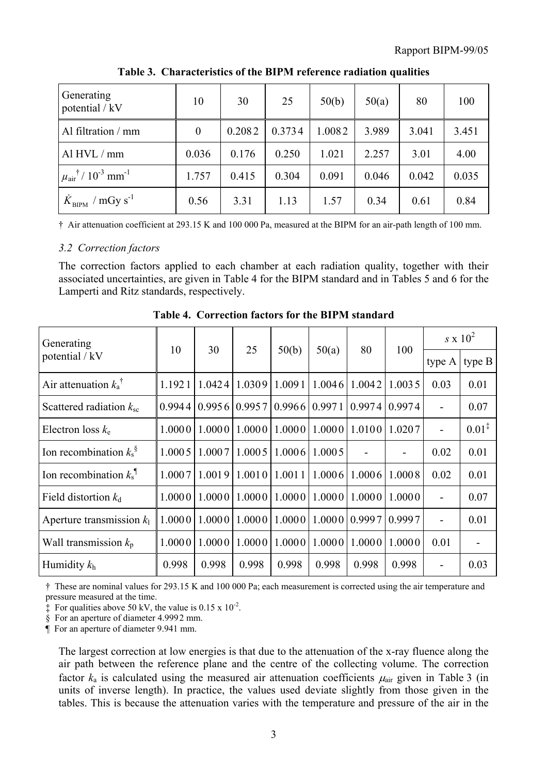| Generating<br>potential / kV                                        | 10       | 30     | 25     | 50(b)  | 50(a) | 80    | 100   |
|---------------------------------------------------------------------|----------|--------|--------|--------|-------|-------|-------|
| Al filtration / mm                                                  | $\theta$ | 0.2082 | 0.3734 | 1.0082 | 3.989 | 3.041 | 3.451 |
| Al $HVL/mm$                                                         | 0.036    | 0.176  | 0.250  | 1.021  | 2.257 | 3.01  | 4.00  |
| $\mu_{\text{air}}$ <sup>†</sup> / 10 <sup>-3</sup> mm <sup>-1</sup> | 1.757    | 0.415  | 0.304  | 0.091  | 0.046 | 0.042 | 0.035 |
| $K_{\text{BIPM}}$ / mGy s <sup>-1</sup>                             | 0.56     | 3.31   | 1.13   | 1.57   | 0.34  | 0.61  | 0.84  |

**Table 3. Characteristics of the BIPM reference radiation qualities**

† Air attenuation coefficient at 293.15 K and 100 000 Pa, measured at the BIPM for an air-path length of 100 mm.

### *3.2 Correction factors*

The correction factors applied to each chamber at each radiation quality, together with their associated uncertainties, are given in Table 4 for the BIPM standard and in Tables 5 and 6 for the Lamperti and Ritz standards, respectively.

| Generating                           | 10     | 30     |                     |        | 50(a)  | 80     | 100    | $s \times 10^2$ |                   |
|--------------------------------------|--------|--------|---------------------|--------|--------|--------|--------|-----------------|-------------------|
| potential / kV                       |        |        | 25                  | 50(b)  |        |        |        | type A          | type $B$          |
| Air attenuation $k_a^{\dagger}$      | 1.1921 | 1.0424 | 1.0309              | 1.0091 | 1.0046 | 1.0042 | 1.0035 | 0.03            | 0.01              |
| Scattered radiation $k_{\rm sc}$     | 0.9944 | 0.9956 | 0.9957              | 0.9966 | 0.9971 | 0.9974 | 0.9974 |                 | 0.07              |
| Electron loss $k_e$                  | 1.0000 |        | $1.0000$   $1.0000$ | 1.0000 | 1.0000 | 1.0100 | 1.0207 |                 | $0.01^{\ddagger}$ |
| Ion recombination $k_s^s$            | 1.0005 | 1.0007 | 1.0005              | 1.0006 | 1.0005 |        |        | 0.02            | 0.01              |
| Ion recombination $k_s$ <sup>1</sup> | 1.0007 | 1.0019 | 1.0010              | 1.0011 | 1.0006 | 1.0006 | 1.0008 | 0.02            | 0.01              |
| Field distortion $k_d$               | 1.0000 |        | $1.0000$   $1.0000$ | 1.0000 | 1.0000 | 1.0000 | 1.0000 |                 | 0.07              |
| Aperture transmission $k_1$          | 1.0000 | 1.0000 | 1.0000              | 1.0000 | 1.0000 | 0.9997 | 0.9997 |                 | 0.01              |
| Wall transmission $k_p$              | 1.0000 | 1.0000 | 1.0000              | 1.0000 | 1.0000 | 1.0000 | 1.0000 | 0.01            |                   |
| Humidity $k_h$                       | 0.998  | 0.998  | 0.998               | 0.998  | 0.998  | 0.998  | 0.998  |                 | 0.03              |

**Table 4. Correction factors for the BIPM standard**

† These are nominal values for 293.15 K and 100 000 Pa; each measurement is corrected using the air temperature and pressure measured at the time.

 $\ddagger$  For qualities above 50 kV, the value is 0.15 x 10<sup>-2</sup>.

§ For an aperture of diameter 4.999 2 mm.

¶ For an aperture of diameter 9.941 mm.

The largest correction at low energies is that due to the attenuation of the x-ray fluence along the air path between the reference plane and the centre of the collecting volume. The correction factor  $k_a$  is calculated using the measured air attenuation coefficients  $\mu_{air}$  given in Table 3 (in units of inverse length). In practice, the values used deviate slightly from those given in the tables. This is because the attenuation varies with the temperature and pressure of the air in the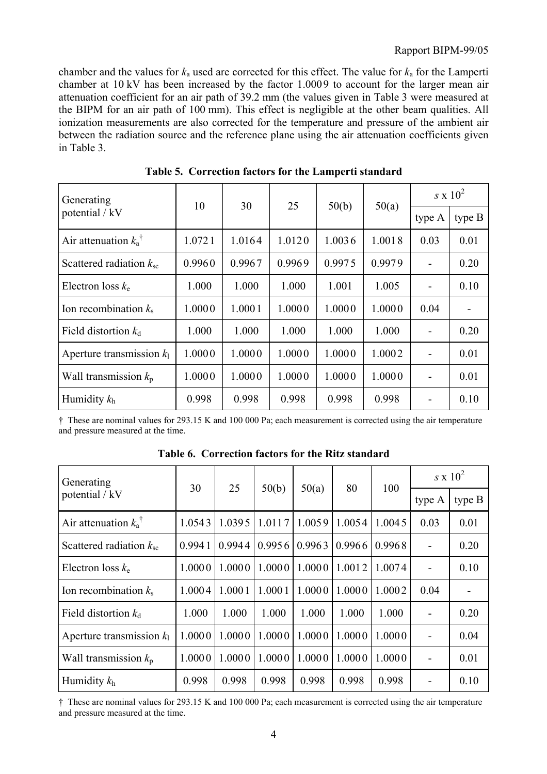chamber and the values for *k*a used are corrected for this effect. The value for *k*a for the Lamperti chamber at 10 kV has been increased by the factor 1.000 9 to account for the larger mean air attenuation coefficient for an air path of 39.2 mm (the values given in Table 3 were measured at the BIPM for an air path of 100 mm). This effect is negligible at the other beam qualities. All ionization measurements are also corrected for the temperature and pressure of the ambient air between the radiation source and the reference plane using the air attenuation coefficients given in Table 3.

| Generating                         | 10     | 30     | 25     |        |        | $s \times 10^2$          |        |
|------------------------------------|--------|--------|--------|--------|--------|--------------------------|--------|
| potential / kV                     |        |        |        | 50(b)  | 50(a)  | type A                   | type B |
| Air attenuation $k_a$ <sup>†</sup> | 1.0721 | 1.0164 | 1.0120 | 1.0036 | 1.0018 | 0.03                     | 0.01   |
| Scattered radiation $k_{\rm sc}$   | 0.9960 | 0.9967 | 0.9969 | 0.9975 | 0.9979 |                          | 0.20   |
| Electron loss $k_e$                | 1.000  | 1.000  | 1.000  | 1.001  | 1.005  | $\overline{\phantom{a}}$ | 0.10   |
| Ion recombination $k_s$            | 1.0000 | 1.0001 | 1.0000 | 1.0000 | 1.0000 | 0.04                     |        |
| Field distortion $k_d$             | 1.000  | 1.000  | 1.000  | 1.000  | 1.000  | $\overline{\phantom{a}}$ | 0.20   |
| Aperture transmission $k_1$        | 1.0000 | 1.0000 | 1.0000 | 1.0000 | 1.0002 | $\overline{\phantom{0}}$ | 0.01   |
| Wall transmission $k_p$            | 1.0000 | 1.0000 | 1.0000 | 1.0000 | 1.0000 | $\overline{\phantom{a}}$ | 0.01   |
| Humidity $k_h$                     | 0.998  | 0.998  | 0.998  | 0.998  | 0.998  |                          | 0.10   |

**Table 5. Correction factors for the Lamperti standard**

† These are nominal values for 293.15 K and 100 000 Pa; each measurement is corrected using the air temperature and pressure measured at the time.

| Generating<br>potential / kV       |        |        |        |        |        |        | $s \times 10^2$          |          |
|------------------------------------|--------|--------|--------|--------|--------|--------|--------------------------|----------|
|                                    | 30     | 25     | 50(b)  | 50(a)  | 80     | 100    | type A                   | type $B$ |
| Air attenuation $k_a$ <sup>T</sup> | 1.0543 | 1.0395 | 1.0117 | 1.0059 | 1.0054 | 1.0045 | 0.03                     | 0.01     |
| Scattered radiation $k_{\rm sc}$   | 0.9941 | 0.9944 | 0.9956 | 0.9963 | 0.9966 | 0.9968 | $\overline{\phantom{a}}$ | 0.20     |
| Electron loss $k_e$                | 1.0000 | 1.0000 | 1.0000 | 1.0000 | 1.0012 | 1.0074 | $\overline{\phantom{0}}$ | 0.10     |
| Ion recombination $k_s$            | 1.0004 | 1.0001 | 1.0001 | 1.0000 | 1.0000 | 1.0002 | 0.04                     |          |
| Field distortion $k_d$             | 1.000  | 1.000  | 1.000  | 1.000  | 1.000  | 1.000  |                          | 0.20     |
| Aperture transmission $k_1$        | 1.0000 | 1.0000 | 1.0000 | 1.0000 | 1.0000 | 1.0000 | $\overline{\phantom{0}}$ | 0.04     |
| Wall transmission $k_p$            | 1.0000 | 1.0000 | 1.0000 | 1.0000 | 1.0000 | 1.0000 | -                        | 0.01     |
| Humidity $k_h$                     | 0.998  | 0.998  | 0.998  | 0.998  | 0.998  | 0.998  |                          | 0.10     |

**Table 6. Correction factors for the Ritz standard**

† These are nominal values for 293.15 K and 100 000 Pa; each measurement is corrected using the air temperature and pressure measured at the time.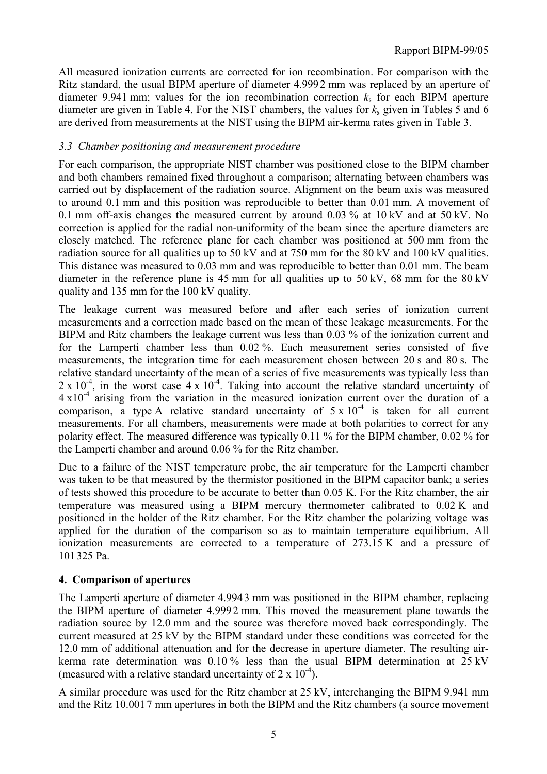All measured ionization currents are corrected for ion recombination. For comparison with the Ritz standard, the usual BIPM aperture of diameter 4.999 2 mm was replaced by an aperture of diameter 9.941 mm; values for the ion recombination correction  $k<sub>s</sub>$  for each BIPM aperture diameter are given in Table 4. For the NIST chambers, the values for *k*s given in Tables 5 and 6 are derived from measurements at the NIST using the BIPM air-kerma rates given in Table 3.

#### *3.3 Chamber positioning and measurement procedure*

For each comparison, the appropriate NIST chamber was positioned close to the BIPM chamber and both chambers remained fixed throughout a comparison; alternating between chambers was carried out by displacement of the radiation source. Alignment on the beam axis was measured to around 0.1 mm and this position was reproducible to better than 0.01 mm. A movement of 0.1 mm off-axis changes the measured current by around 0.03 % at 10 kV and at 50 kV. No correction is applied for the radial non-uniformity of the beam since the aperture diameters are closely matched. The reference plane for each chamber was positioned at 500 mm from the radiation source for all qualities up to 50 kV and at 750 mm for the 80 kV and 100 kV qualities. This distance was measured to 0.03 mm and was reproducible to better than 0.01 mm. The beam diameter in the reference plane is 45 mm for all qualities up to 50 kV, 68 mm for the 80 kV quality and 135 mm for the 100 kV quality.

The leakage current was measured before and after each series of ionization current measurements and a correction made based on the mean of these leakage measurements. For the BIPM and Ritz chambers the leakage current was less than 0.03 % of the ionization current and for the Lamperti chamber less than 0.02 %. Each measurement series consisted of five measurements, the integration time for each measurement chosen between 20 s and 80 s. The relative standard uncertainty of the mean of a series of five measurements was typically less than  $2 \times 10^{-4}$ , in the worst case  $4 \times 10^{-4}$ . Taking into account the relative standard uncertainty of  $4 \times 10^{-4}$  arising from the variation in the measured ionization current over the duration of a comparison, a type A relative standard uncertainty of  $5 \times 10^{-4}$  is taken for all current measurements. For all chambers, measurements were made at both polarities to correct for any polarity effect. The measured difference was typically 0.11 % for the BIPM chamber, 0.02 % for the Lamperti chamber and around 0.06 % for the Ritz chamber.

Due to a failure of the NIST temperature probe, the air temperature for the Lamperti chamber was taken to be that measured by the thermistor positioned in the BIPM capacitor bank; a series of tests showed this procedure to be accurate to better than 0.05 K. For the Ritz chamber, the air temperature was measured using a BIPM mercury thermometer calibrated to 0.02 K and positioned in the holder of the Ritz chamber. For the Ritz chamber the polarizing voltage was applied for the duration of the comparison so as to maintain temperature equilibrium. All ionization measurements are corrected to a temperature of 273.15 K and a pressure of 101 325 Pa.

### **4. Comparison of apertures**

The Lamperti aperture of diameter 4.994 3 mm was positioned in the BIPM chamber, replacing the BIPM aperture of diameter 4.999 2 mm. This moved the measurement plane towards the radiation source by 12.0 mm and the source was therefore moved back correspondingly. The current measured at 25 kV by the BIPM standard under these conditions was corrected for the 12.0 mm of additional attenuation and for the decrease in aperture diameter. The resulting airkerma rate determination was 0.10 % less than the usual BIPM determination at 25 kV (measured with a relative standard uncertainty of  $2 \times 10^{-4}$ ).

A similar procedure was used for the Ritz chamber at 25 kV, interchanging the BIPM 9.941 mm and the Ritz 10.001 7 mm apertures in both the BIPM and the Ritz chambers (a source movement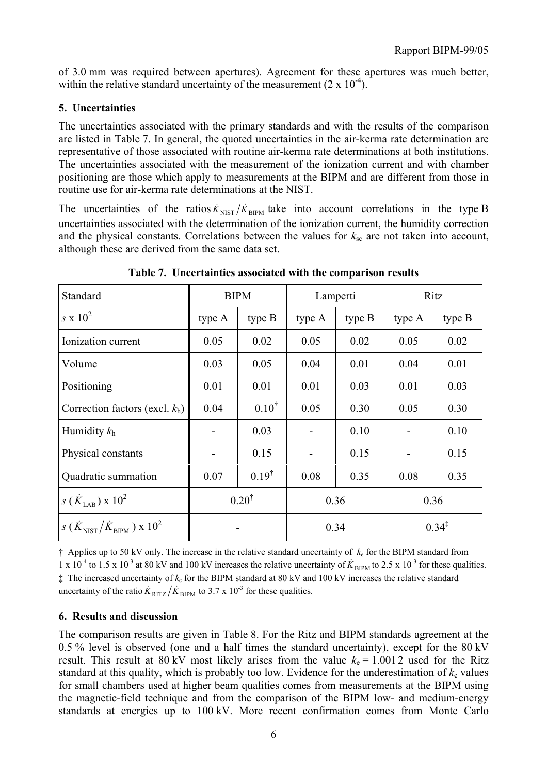of 3.0 mm was required between apertures). Agreement for these apertures was much better, within the relative standard uncertainty of the measurement  $(2 \times 10^{-4})$ .

### **5. Uncertainties**

The uncertainties associated with the primary standards and with the results of the comparison are listed in Table 7. In general, the quoted uncertainties in the air-kerma rate determination are representative of those associated with routine air-kerma rate determinations at both institutions. The uncertainties associated with the measurement of the ionization current and with chamber positioning are those which apply to measurements at the BIPM and are different from those in routine use for air-kerma rate determinations at the NIST.

The uncertainties of the ratios  $\dot{K}_{NIST}/\dot{K}_{BIPM}$  take into account correlations in the type B uncertainties associated with the determination of the ionization current, the humidity correction and the physical constants. Correlations between the values for  $k_{\rm sc}$  are not taken into account, although these are derived from the same data set.

| Standard                                                     | <b>BIPM</b>      |                  |                              | Lamperti | Ritz              |          |  |
|--------------------------------------------------------------|------------------|------------------|------------------------------|----------|-------------------|----------|--|
| $s \times 10^2$                                              | type A           | type $B$         | type A                       | type B   | type A            | type $B$ |  |
| Ionization current                                           | 0.05             | 0.02             | 0.05                         | 0.02     | 0.05              | 0.02     |  |
| Volume                                                       | 0.03             | 0.05             | 0.04                         | 0.01     | 0.04              | 0.01     |  |
| Positioning                                                  | 0.01             | 0.01             | 0.01                         | 0.03     | 0.01              | 0.03     |  |
| Correction factors (excl. $k_h$ )                            | 0.04             | $0.10^{\dagger}$ | 0.05                         | 0.30     | 0.05              | 0.30     |  |
| Humidity $k_h$                                               |                  | 0.03             | $\qquad \qquad \blacksquare$ | 0.10     |                   | 0.10     |  |
| Physical constants                                           |                  | 0.15             |                              | 0.15     |                   | 0.15     |  |
| Quadratic summation                                          | 0.07             | $0.19^{\dagger}$ | 0.08                         | 0.35     | 0.08              | 0.35     |  |
| $s(\dot{K}_{\text{LAR}}) \times 10^2$                        | $0.20^{\dagger}$ |                  | 0.36                         |          | 0.36              |          |  |
| $s(\dot{K}_{\text{NIST}}/\dot{K}_{\text{BIPM}}) \times 10^2$ |                  |                  |                              | 0.34     | $0.34^{\ddagger}$ |          |  |

**Table 7. Uncertainties associated with the comparison results**

† Applies up to 50 kV only. The increase in the relative standard uncertainty of *k*e for the BIPM standard from  $1 \times 10^{-4}$  to 1.5 x 10<sup>-3</sup> at 80 kV and 100 kV increases the relative uncertainty of  $\dot{K}_{\text{BIPM}}$  to 2.5 x 10<sup>-3</sup> for these qualities. ‡ The increased uncertainty of *k*e for the BIPM standard at 80 kV and 100 kV increases the relative standard uncertainty of the ratio  $\dot{K}_{\text{RITZ}}/\dot{K}_{\text{BIPM}}$  to 3.7 x 10<sup>-3</sup> for these qualities.

## **6. Results and discussion**

The comparison results are given in Table 8. For the Ritz and BIPM standards agreement at the 0.5 % level is observed (one and a half times the standard uncertainty), except for the 80 kV result. This result at 80 kV most likely arises from the value  $k_e = 1.0012$  used for the Ritz standard at this quality, which is probably too low. Evidence for the underestimation of  $k<sub>e</sub>$  values for small chambers used at higher beam qualities comes from measurements at the BIPM using the magnetic-field technique and from the comparison of the BIPM low- and medium-energy standards at energies up to 100 kV. More recent confirmation comes from Monte Carlo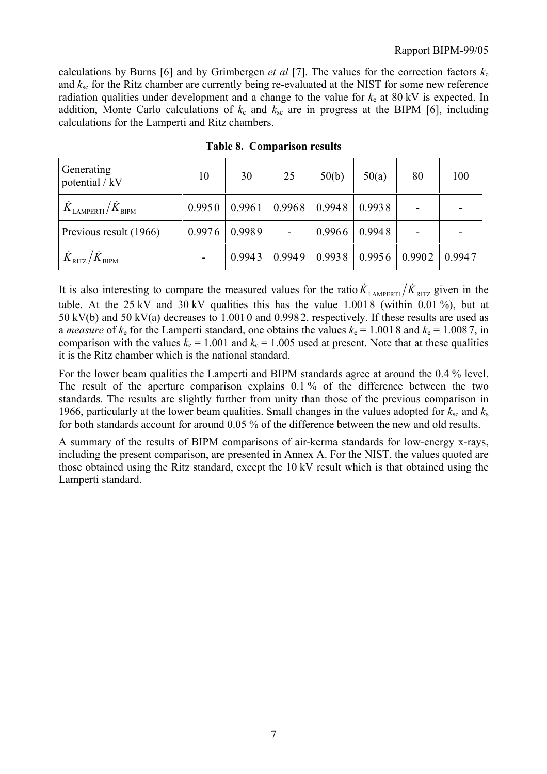calculations by Burns [6] and by Grimbergen *et al* [7]. The values for the correction factors  $k_e$ and *k*sc for the Ritz chamber are currently being re-evaluated at the NIST for some new reference radiation qualities under development and a change to the value for  $k<sub>e</sub>$  at 80 kV is expected. In addition, Monte Carlo calculations of  $k_e$  and  $k_{sc}$  are in progress at the BIPM [6], including calculations for the Lamperti and Ritz chambers.

| Generating<br>potential / kV            | 10     | 30     | 25                | 50(b)  | 50(a)  | 80     | 100    |
|-----------------------------------------|--------|--------|-------------------|--------|--------|--------|--------|
| $K_{\rm LAMPERTI}/\dot{K}_{\rm BIPM}$   | 0.9950 | 0.9961 | $0.9968$   0.9948 |        | 0.9938 |        |        |
| Previous result (1966)                  | 0.9976 | 0.9989 |                   | 0.9966 | 0.9948 |        |        |
| $\dot{K}_{\rm RITZ}/\dot{K}_{\rm BIPM}$ |        | 0.9943 | 0.9949            | 0.9938 | 0.9956 | 0.9902 | 0.9947 |

**Table 8. Comparison results**

It is also interesting to compare the measured values for the ratio  $K_{\text{LAMPERTI}} / K_{\text{RITZ}}$  given in the table. At the  $25 \text{ kV}$  and  $30 \text{ kV}$  qualities this has the value 1.0018 (within 0.01%), but at 50 kV(b) and 50 kV(a) decreases to 1.001 0 and 0.998 2, respectively. If these results are used as a *measure* of  $k_e$  for the Lamperti standard, one obtains the values  $k_e = 1.0018$  and  $k_e = 1.0087$ , in comparison with the values  $k_e = 1.001$  and  $k_e = 1.005$  used at present. Note that at these qualities it is the Ritz chamber which is the national standard.

For the lower beam qualities the Lamperti and BIPM standards agree at around the 0.4 % level. The result of the aperture comparison explains 0.1 % of the difference between the two standards. The results are slightly further from unity than those of the previous comparison in 1966, particularly at the lower beam qualities. Small changes in the values adopted for  $k_{\rm sc}$  and  $k_{\rm s}$ for both standards account for around 0.05 % of the difference between the new and old results.

A summary of the results of BIPM comparisons of air-kerma standards for low-energy x-rays, including the present comparison, are presented in Annex A. For the NIST, the values quoted are those obtained using the Ritz standard, except the 10 kV result which is that obtained using the Lamperti standard.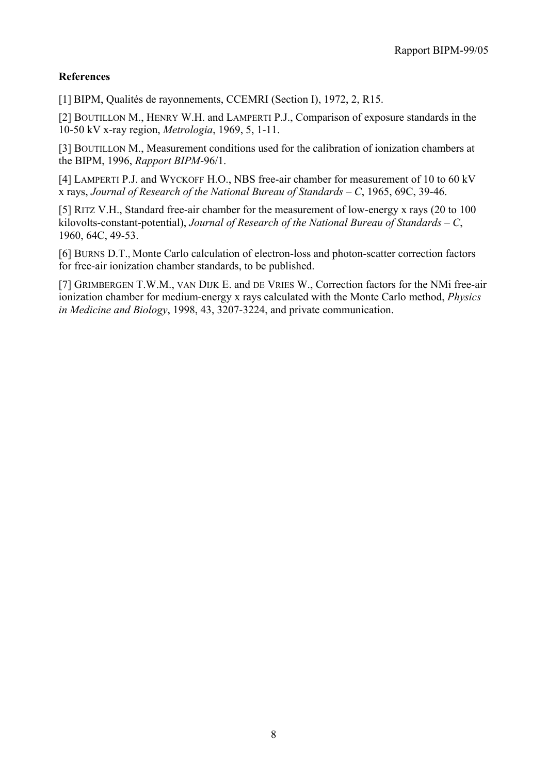### **References**

[1] BIPM, Qualités de rayonnements, CCEMRI (Section I), 1972, 2, R15.

[2] BOUTILLON M., HENRY W.H. and LAMPERTI P.J., Comparison of exposure standards in the 10-50 kV x-ray region, *Metrologia*, 1969, 5, 1-11.

[3] BOUTILLON M., Measurement conditions used for the calibration of ionization chambers at the BIPM, 1996, *Rapport BIPM*-96/1.

[4] LAMPERTI P.J. and WYCKOFF H.O., NBS free-air chamber for measurement of 10 to 60 kV x rays, *Journal of Research of the National Bureau of Standards – C*, 1965, 69C, 39-46.

[5] RITZ V.H., Standard free-air chamber for the measurement of low-energy x rays (20 to 100 kilovolts-constant-potential), *Journal of Research of the National Bureau of Standards – C*, 1960, 64C, 49-53.

[6] BURNS D.T., Monte Carlo calculation of electron-loss and photon-scatter correction factors for free-air ionization chamber standards, to be published.

[7] GRIMBERGEN T.W.M., VAN DIJK E. and DE VRIES W., Correction factors for the NMi free-air ionization chamber for medium-energy x rays calculated with the Monte Carlo method, *Physics in Medicine and Biology*, 1998, 43, 3207-3224, and private communication.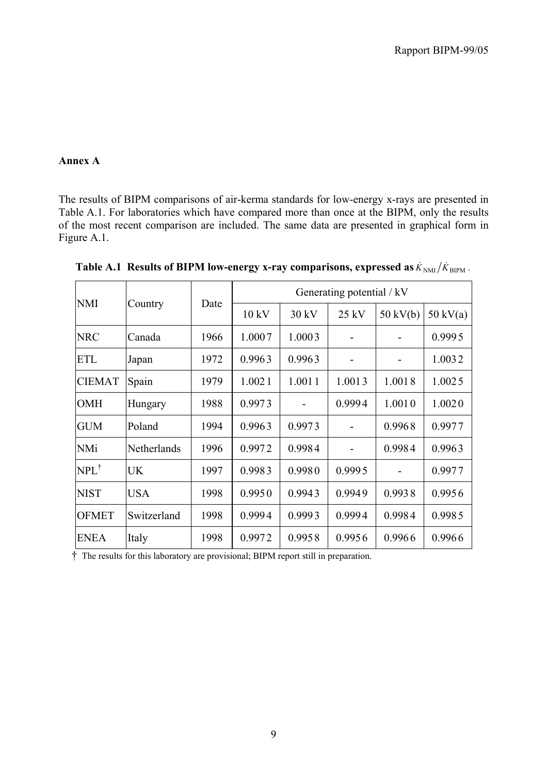#### **Annex A**

The results of BIPM comparisons of air-kerma standards for low-energy x-rays are presented in Table A.1. For laboratories which have compared more than once at the BIPM, only the results of the most recent comparison are included. The same data are presented in graphical form in Figure A.1.

| <b>NMI</b>      |             | Date | Generating potential / kV |        |         |                    |                    |  |  |
|-----------------|-------------|------|---------------------------|--------|---------|--------------------|--------------------|--|--|
|                 | Country     |      | 10 kV                     | 30 kV  | $25$ kV | $50 \text{ kV(b)}$ | $50 \text{ kV(a)}$ |  |  |
| <b>NRC</b>      | Canada      | 1966 | 1.0007                    | 1.0003 |         |                    | 0.9995             |  |  |
| <b>ETL</b>      | Japan       | 1972 | 0.9963                    | 0.9963 |         |                    | 1.0032             |  |  |
| <b>CIEMAT</b>   | Spain       | 1979 | 1.0021                    | 1.0011 | 1.0013  | 1.0018             | 1.0025             |  |  |
| <b>OMH</b>      | Hungary     | 1988 | 0.9973                    |        | 0.9994  | 1.0010             | 1.0020             |  |  |
| <b>GUM</b>      | Poland      | 1994 | 0.9963                    | 0.9973 |         | 0.9968             | 0.9977             |  |  |
| <b>NMi</b>      | Netherlands | 1996 | 0.9972                    | 0.9984 |         | 0.9984             | 0.9963             |  |  |
| $NPL^{\dagger}$ | <b>UK</b>   | 1997 | 0.9983                    | 0.9980 | 0.9995  |                    | 0.9977             |  |  |
| <b>NIST</b>     | <b>USA</b>  | 1998 | 0.9950                    | 0.9943 | 0.9949  | 0.9938             | 0.9956             |  |  |
| <b>OFMET</b>    | Switzerland | 1998 | 0.9994                    | 0.9993 | 0.9994  | 0.9984             | 0.9985             |  |  |
| <b>ENEA</b>     | Italy       | 1998 | 0.9972                    | 0.9958 | 0.9956  | 0.9966             | 0.9966             |  |  |

**Table A.1 Results of BIPM low-energy x-ray comparisons, expressed as**  $\dot{K}_{NM}/\dot{K}_{BPM}$ **.** 

† The results for this laboratory are provisional; BIPM report still in preparation.